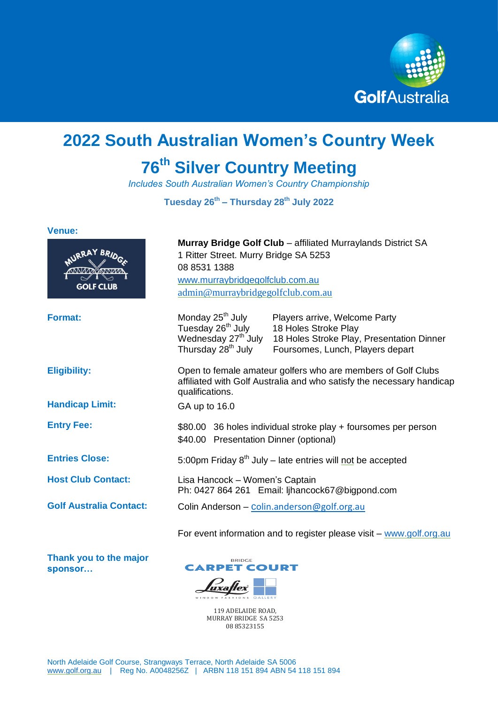

# **2022 South Australian Women's Country Week**

# **76th Silver Country Meeting**

*Includes South Australian Women's Country Championship*

**Tuesday 26th – Thursday 28th July 2022**

### **Venue:**

| URRAY BRID<br><b>GOLF CLUB</b> | <b>Murray Bridge Golf Club - affiliated Murraylands District SA</b><br>1 Ritter Street. Murry Bridge SA 5253<br>08 8531 1388<br>www.murraybridgegolfclub.com.au<br>admin@murraybridgegolfclub.com.au |                                                                                                                                        |
|--------------------------------|------------------------------------------------------------------------------------------------------------------------------------------------------------------------------------------------------|----------------------------------------------------------------------------------------------------------------------------------------|
| <b>Format:</b>                 | Monday 25 <sup>th</sup> July<br>Tuesday 26 <sup>th</sup> July<br>Wednesday 27 <sup>th</sup> July<br>Thursday 28 <sup>th</sup> July                                                                   | Players arrive, Welcome Party<br>18 Holes Stroke Play<br>18 Holes Stroke Play, Presentation Dinner<br>Foursomes, Lunch, Players depart |
| <b>Eligibility:</b>            | Open to female amateur golfers who are members of Golf Clubs<br>affiliated with Golf Australia and who satisfy the necessary handicap<br>qualifications.                                             |                                                                                                                                        |
| <b>Handicap Limit:</b>         | GA up to 16.0                                                                                                                                                                                        |                                                                                                                                        |
| <b>Entry Fee:</b>              | \$80.00 36 holes individual stroke play + foursomes per person<br>\$40.00 Presentation Dinner (optional)                                                                                             |                                                                                                                                        |
| <b>Entries Close:</b>          | 5:00pm Friday $8th$ July – late entries will not be accepted                                                                                                                                         |                                                                                                                                        |
| <b>Host Club Contact:</b>      | Lisa Hancock - Women's Captain<br>Ph: 0427 864 261 Email: Ijhancock67@bigpond.com                                                                                                                    |                                                                                                                                        |
| <b>Golf Australia Contact:</b> | Colin Anderson - colin.anderson@golf.org.au                                                                                                                                                          |                                                                                                                                        |
|                                |                                                                                                                                                                                                      | For event information and to register please visit $-$ www.golf.org.au                                                                 |

**Thank you to the major sponsor…**



119 ADELAIDE ROAD, MURRAY BRIDGE SA 5253 08 85323155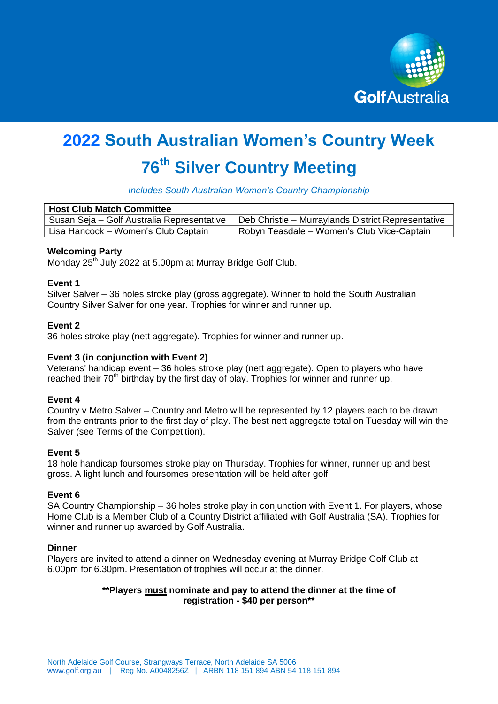

# **2022 South Australian Women's Country Week**

# **76th Silver Country Meeting**

*Includes South Australian Women's Country Championship*

| <b>Host Club Match Committee</b>           |                                                    |  |  |
|--------------------------------------------|----------------------------------------------------|--|--|
| Susan Seja - Golf Australia Representative | Deb Christie - Murraylands District Representative |  |  |
| Lisa Hancock – Women's Club Captain        | Robyn Teasdale – Women's Club Vice-Captain         |  |  |

## **Welcoming Party**

Monday 25<sup>th</sup> July 2022 at 5.00pm at Murray Bridge Golf Club.

## **Event 1**

Silver Salver – 36 holes stroke play (gross aggregate). Winner to hold the South Australian Country Silver Salver for one year. Trophies for winner and runner up.

# **Event 2**

36 holes stroke play (nett aggregate). Trophies for winner and runner up.

# **Event 3 (in conjunction with Event 2)**

Veterans' handicap event – 36 holes stroke play (nett aggregate). Open to players who have reached their  $70<sup>th</sup>$  birthday by the first day of play. Trophies for winner and runner up.

## **Event 4**

Country v Metro Salver – Country and Metro will be represented by 12 players each to be drawn from the entrants prior to the first day of play. The best nett aggregate total on Tuesday will win the Salver (see Terms of the Competition).

## **Event 5**

18 hole handicap foursomes stroke play on Thursday. Trophies for winner, runner up and best gross. A light lunch and foursomes presentation will be held after golf.

## **Event 6**

SA Country Championship – 36 holes stroke play in conjunction with Event 1. For players, whose Home Club is a Member Club of a Country District affiliated with Golf Australia (SA). Trophies for winner and runner up awarded by Golf Australia.

## **Dinner**

Players are invited to attend a dinner on Wednesday evening at Murray Bridge Golf Club at 6.00pm for 6.30pm. Presentation of trophies will occur at the dinner.

# **\*\*Players must nominate and pay to attend the dinner at the time of registration - \$40 per person\*\***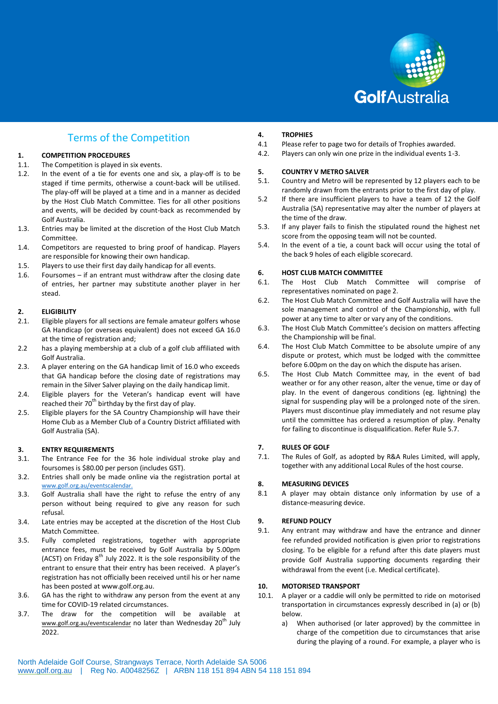

# Terms of the Competition

### **1. COMPETITION PROCEDURES**

- 1.1. The Competition is played in six events.
- 1.2. In the event of a tie for events one and six, a play-off is to be staged if time permits, otherwise a count-back will be utilised. The play-off will be played at a time and in a manner as decided by the Host Club Match Committee. Ties for all other positions and events, will be decided by count-back as recommended by Golf Australia.
- 1.3. Entries may be limited at the discretion of the Host Club Match Committee.
- 1.4. Competitors are requested to bring proof of handicap. Players are responsible for knowing their own handicap.
- 1.5. Players to use their first day daily handicap for all events.
- 1.6. Foursomes if an entrant must withdraw after the closing date of entries, her partner may substitute another player in her stead.

### **2. ELIGIBILITY**

- 2.1. Eligible players for all sections are female amateur golfers whose GA Handicap (or overseas equivalent) does not exceed GA 16.0 at the time of registration and;
- 2.2 has a playing membership at a club of a golf club affiliated with Golf Australia.
- 2.3. A player entering on the GA handicap limit of 16.0 who exceeds that GA handicap before the closing date of registrations may remain in the Silver Salver playing on the daily handicap limit.
- 2.4. Eligible players for the Veteran's handicap event will have reached their  $70<sup>th</sup>$  birthday by the first day of play.
- 2.5. Eligible players for the SA Country Championship will have their Home Club as a Member Club of a Country District affiliated with Golf Australia (SA).

### **3. ENTRY REQUIREMENTS**

- 3.1. The Entrance Fee for the 36 hole individual stroke play and foursomes is \$80.00 per person (includes GST).
- 3.2. Entries shall only be made online via the registration portal at [www.golf.org.au/eventscalendar.](http://www.golf.org.au/eventscalendar)
- 3.3. Golf Australia shall have the right to refuse the entry of any person without being required to give any reason for such refusal.
- 3.4. Late entries may be accepted at the discretion of the Host Club Match Committee.
- 3.5. Fully completed registrations, together with appropriate entrance fees, must be received by Golf Australia by 5.00pm (ACST) on Friday  $8^{th}$  July 2022. It is the sole responsibility of the entrant to ensure that their entry has been received. A player's registration has not officially been received until his or her name has been posted at www.golf.org.au.
- 3.6. GA has the right to withdraw any person from the event at any time for COVID-19 related circumstances.
- 3.7. The draw for the competition will be available at [www.golf.org.au/eventscalendar](http://www.golf.org.au/eventscalendar) no later than Wednesday 20<sup>th</sup> July 2022.

# **4. TROPHIES**

- Please refer to page two for details of Trophies awarded.
- 4.2. Players can only win one prize in the individual events 1-3.

# **5. COUNTRY V METRO SALVER**

- 5.1. Country and Metro will be represented by 12 players each to be randomly drawn from the entrants prior to the first day of play.
- 5.2 If there are insufficient players to have a team of 12 the Golf Australia (SA) representative may alter the number of players at the time of the draw.
- 5.3. If any player fails to finish the stipulated round the highest net score from the opposing team will not be counted.
- 5.4. In the event of a tie, a count back will occur using the total of the back 9 holes of each eligible scorecard.

### **6. HOST CLUB MATCH COMMITTEE**

- 6.1. The Host Club Match Committee will comprise of representatives nominated on page 2.
- 6.2. The Host Club Match Committee and Golf Australia will have the sole management and control of the Championship, with full power at any time to alter or vary any of the conditions.
- 6.3. The Host Club Match Committee's decision on matters affecting the Championship will be final.
- 6.4. The Host Club Match Committee to be absolute umpire of any dispute or protest, which must be lodged with the committee before 6.00pm on the day on which the dispute has arisen.
- 6.5. The Host Club Match Committee may, in the event of bad weather or for any other reason, alter the venue, time or day of play. In the event of dangerous conditions (eg. lightning) the signal for suspending play will be a prolonged note of the siren. Players must discontinue play immediately and not resume play until the committee has ordered a resumption of play. Penalty for failing to discontinue is disqualification. Refer Rule 5.7.

### **7. RULES OF GOLF**

7.1. The Rules of Golf, as adopted by R&A Rules Limited, will apply, together with any additional Local Rules of the host course.

### **8. MEASURING DEVICES**

8.1 A player may obtain distance only information by use of a distance-measuring device.

### **9. REFUND POLICY**

9.1. Any entrant may withdraw and have the entrance and dinner fee refunded provided notification is given prior to registrations closing. To be eligible for a refund after this date players must provide Golf Australia supporting documents regarding their withdrawal from the event (i.e. Medical certificate).

# 10. **MOTORISED TRANSPORT**<br>10.1. A player or a caddie will c

- A player or a caddie will only be permitted to ride on motorised transportation in circumstances expressly described in (a) or (b) below.
	- a) When authorised (or later approved) by the committee in charge of the competition due to circumstances that arise during the playing of a round. For example, a player who is